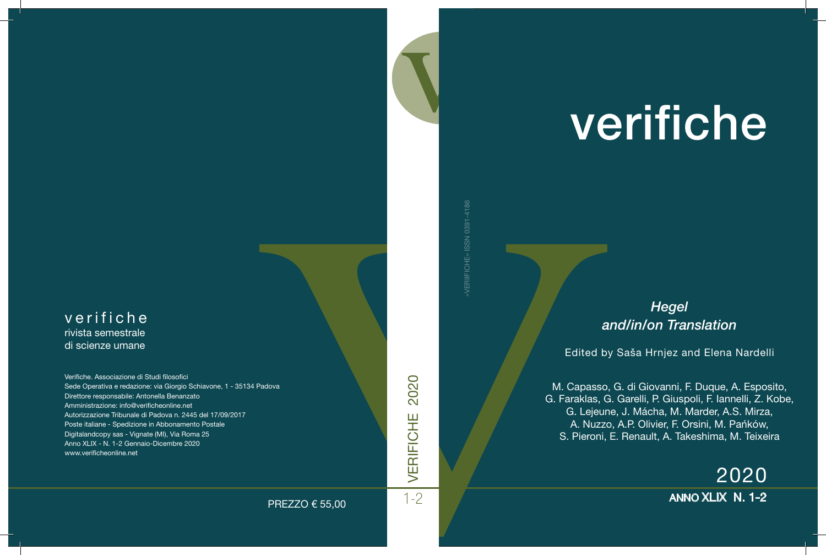# verifiche

# rivista semestrale di scienze umane

Verifiche. Associazione di Studi filosofici Sede Operativa e redazione: via Giorgio Schiavone, 1 - 35134 Padova Direttore responsabile: Antonella Benanzato Amministrazione: info@verificheonline.net Autorizzazione Tribunale di Padova n. 2445 del 17/09/2017 Poste italiane - Spedizione in Abbonamento Postale Digitalandcopy sas - Vignate (MI), Via Roma 25 Anno XLIX - N. 1-2 Gennaio-Dicembre 2020 www.verificheonline.net

«VERIIFICHE» ISSN 0391-4186

*Hegel and/in/on Translation* verifiche

Edited by Saša Hrnjez and Elena Nardelli

PAGNA<br>
PAGNA<br>
PAGNA<br>
PREZZO € 55,00<br>
The Contract of Calculation<br>
PREZZO € 55,00<br>
The Calculation<br>
The Calculation<br>
Calculation<br>
S. Pieroni, E M. Capasso, G. di Giovanni, F. Duque, A. Espo<br>
G. Faraklas, G. Garelli, P. Giuspoli, F. Iannelli, Z.<br>
G. Lejeune, J. Mácha, M. Marder, A.S. Mirza<br>
A. Nuzzo, A.P. Olivier, F. Orsini, M. Pańków<br>
S. Pieroni, E. Renault, A. Ta M. Capasso, G. di Giovanni, F. Duque, A. Esposito, G. Faraklas, G. Garelli, P. Giuspoli, F. Iannelli, Z. Kobe, G. Lejeune, J. Mácha, M. Marder, A.S. Mirza, A. Nuzzo, A.P. Olivier, F. Orsini, M. Pańków, S. Pieroni, E. Renault, A. Takeshima, M. Teixeira

2020

PREZZO € 55,00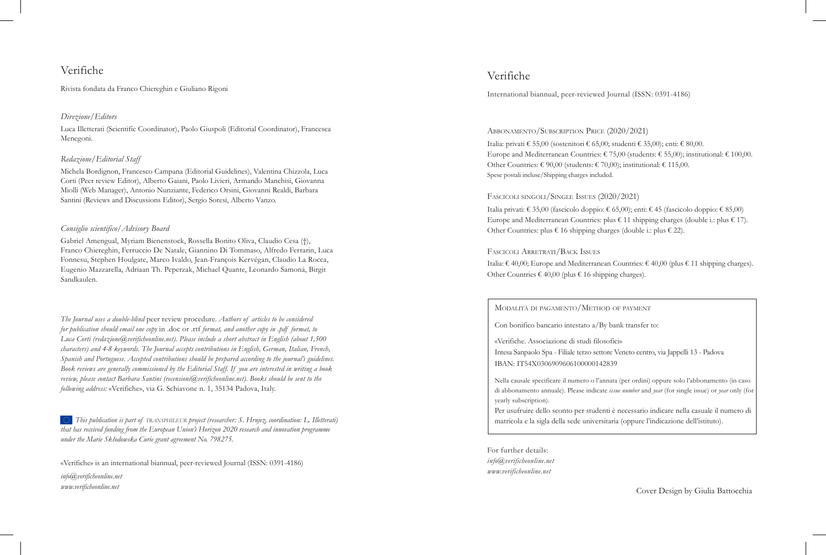# Verifiche

Rivista fondata da Franco Chiereghin e Giuliano Rigoni

#### *Direzione/Editors*

Luca Illetterati (Scientific Coordinator), Paolo Giuspoli (Editorial Coordinator), Francesca Menegoni.

#### *Redazione/Editorial Staff*

Michela Bordignon, Francesco Campana (Editorial Guidelines), Valentina Chizzola, Luca Corti (Peer review Editor), Alberto Gaiani, Paolo Livieri, Armando Manchisi, Giovanna Miolli (Web Manager), Antonio Nunziante, Federico Orsini, Giovanni Realdi, Barbara Santini (Reviews and Discussions Editor), Sergio Soresi, Alberto Vanzo.

#### *Consiglio scientifico/Advisory Board*

Gabriel Amengual, Myriam Bienenstock, Rossella Bonito Oliva, Claudio Cesa (†), Franco Chiereghin, Ferruccio De Natale, Giannino Di Tommaso, Alfredo Ferrarin, Luca Fonnesu, Stephen Houlgate, Marco Ivaldo, Jean-François Kervégan, Claudio La Rocca, Eugenio Mazzarella, Adriaan Th. Peperzak, Michael Quante, Leonardo Samonà, Birgit Sandkaulen.

*The Journal uses a double-blind* peer review procedure. *Authors of articles to be considered for publication should email one copy* in .doc or .rtf *format, and another copy in .pdf format, to Luca Corti (redazione@verificheonline.net). Please include a short abstract in English (about 1,500 characters) and 4-8 keywords. The Journal accepts contributions in English, German, Italian, French, Spanish and Portuguese. Accepted contributions should be prepared according to the journal's guidelines. Book reviews are generally commissioned by the Editorial Staff. If you are interested in writing a book review, please contact Barbara Santini (recensioni@verificheonline.net). Books should be sent to the following address:* «Verifiche», via G. Schiavone n. 1, 35134 Padova, Italy.

*This publication is part of transphileur project (researcher: S. Hrnjez, coordination: L. Illetterati) that has received funding from the European Union's Horizon 2020 research and innovation programme under the Marie Skłodowska Curie grant agreement No. 798275.*

«Verifiche» is an international biannual, peer-reviewed Journal (ISSN: 0391-4186) *info@verificheonline.net www.verificheonline.net*

# Verifiche

International biannual, peer-reviewed Journal (ISSN: 0391-4186)

#### Abbonamento/Subscription Price (2020/2021)

Italia: privati € 55,00 (sostenitori € 65,00; studenti € 35,00); enti: € 80,00. Europe and Mediterranean Countries:  $\epsilon$  75,00 (students:  $\epsilon$  55,00); institutional:  $\epsilon$  100,00. Other Countries:  $\epsilon$  90,00 (students:  $\epsilon$  70,00); institutional:  $\epsilon$  115,00. Spese postali incluse/Shipping charges included.

#### Fascicoli singoli/Single Issues (2020/2021)

Italia privati: € 35,00 (fascicolo doppio: € 65,00); enti: € 45 (fascicolo doppio: € 85,00) Europe and Mediterranean Countries: plus  $\epsilon$  11 shipping charges (double i.: plus  $\epsilon$  17). Other Countries: plus  $\epsilon$  16 shipping charges (double i.: plus  $\epsilon$  22).

#### Fascicoli Arretrati/Back Issues

Italia: € 40,00; Europe and Mediterranean Countries: € 40,00 (plus € 11 shipping charges). Other Countries  $\epsilon$  40,00 (plus  $\epsilon$  16 shipping charges).

#### Modalità di pagamento/Method of payment

Con bonifico bancario intestato a/By bank transfer to:

«Verifiche. Associazione di studi filosofici» Intesa Sanpaolo Spa - Filiale terzo settore Veneto centro, via Jappelli 13 - Padova IBAN: IT54X0306909606100000142839

Nella causale specificare il numero o l'annata (per ordini) oppure solo l'abbonamento (in caso di abbonamento annuale). Please indicate *issue number* and *year* (for single issue) or *year* only (for yearly subscription).

Per usufruire dello sconto per studenti è necessario indicare nella casuale il numero di matricola e la sigla della sede universitaria (oppure l'indicazione dell'istituto).

For further details: *info@verificheonline.net www.verificheonline.net*

Cover Design by Giulia Battocchia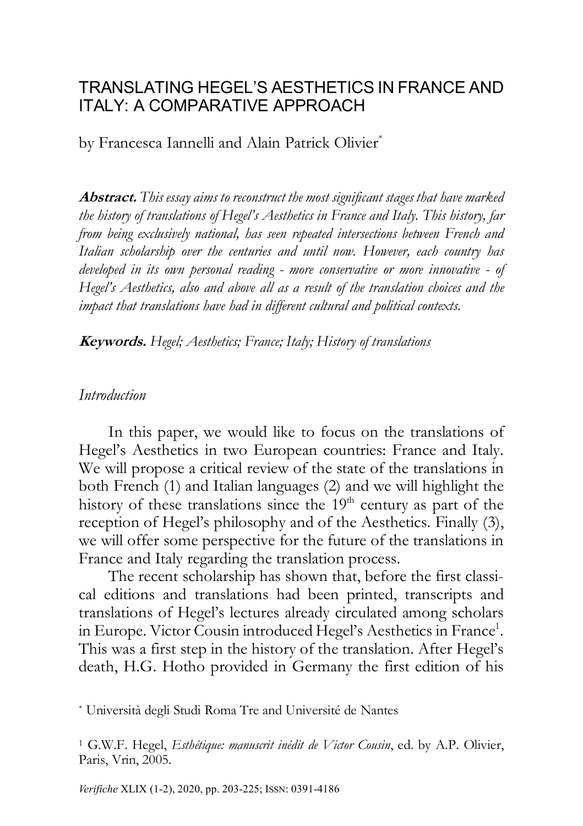# TRANSLATING HEGEL'S AESTHETICS IN FRANCE AND ITALY: A COMPARATIVE APPROACH

by Francesca Iannelli and Alain Patrick Olivier\*

Abstract. *This essay aims to reconstruct the most significant stages that have marked the history of translations of Hegel's Aesthetics in France and Italy. This history, far from being exclusively national, has seen repeated intersections between French and Italian scholarship over the centuries and until now. However, each country has developed in its own personal reading - more conservative or more innovative - of Hegel's Aesthetics, also and above all as a result of the translation choices and the impact that translations have had in different cultural and political contexts.*

Keywords. *Hegel; Aesthetics; France; Italy; History of translations*

#### *Introduction*

In this paper, we would like to focus on the translations of Hegel's Aesthetics in two European countries: France and Italy. We will propose a critical review of the state of the translations in both French (1) and Italian languages (2) and we will highlight the history of these translations since the  $19<sup>th</sup>$  century as part of the reception of Hegel's philosophy and of the Aesthetics. Finally (3), we will offer some perspective for the future of the translations in France and Italy regarding the translation process.

The recent scholarship has shown that, before the first classical editions and translations had been printed, transcripts and translations of Hegel's lectures already circulated among scholars in Europe. Victor Cousin introduced Hegel's Aesthetics in France<sup>1</sup>. This was a first step in the history of the translation. After Hegel's death, H.G. Hotho provided in Germany the first edition of his

\* Università degli Studi Roma Tre and Université de Nantes

<sup>1</sup> G.W.F. Hegel, *Esthétique: manuscrit inédit de Victor Cousin*, ed. by A.P. Olivier, Paris, Vrin, 2005.

*Verifiche* XLIX (1-2), 2020, pp. 203-225; ISSN: 0391-4186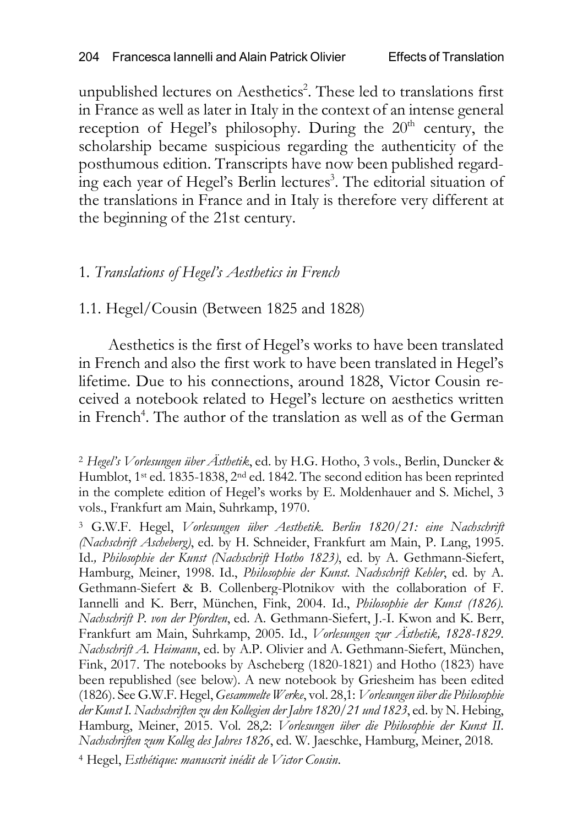unpublished lectures on Aesthetics<sup>2</sup>. These led to translations first in France as well as later in Italy in the context of an intense general reception of Hegel's philosophy. During the  $20<sup>th</sup>$  century, the scholarship became suspicious regarding the authenticity of the posthumous edition. Transcripts have now been published regarding each year of Hegel's Berlin lectures<sup>3</sup>. The editorial situation of the translations in France and in Italy is therefore very different at the beginning of the 21st century.

# 1. *Translations of Hegel's Aesthetics in French*

# 1.1. Hegel/Cousin (Between 1825 and 1828)

Aesthetics is the first of Hegel's works to have been translated in French and also the first work to have been translated in Hegel's lifetime. Due to his connections, around 1828, Victor Cousin received a notebook related to Hegel's lecture on aesthetics written in French<sup>4</sup>. The author of the translation as well as of the German

<sup>2</sup> *Hegel's Vorlesungen über Ästhetik*, ed. by H.G. Hotho, 3 vols., Berlin, Duncker & Humblot, 1<sup>st</sup> ed. 1835-1838, 2<sup>nd</sup> ed. 1842. The second edition has been reprinted in the complete edition of Hegel's works by E. Moldenhauer and S. Michel, 3 vols., Frankfurt am Main, Suhrkamp, 1970.

<sup>3</sup> G.W.F. Hegel, *Vorlesungen über Aesthetik. Berlin 1820/21: eine Nachschrift (Nachschrift Ascheberg)*, ed. by H. Schneider, Frankfurt am Main, P. Lang, 1995. Id.*, Philosophie der Kunst (Nachschrift Hotho 1823)*, ed. by A. Gethmann-Siefert, Hamburg, Meiner, 1998. Id., *Philosophie der Kunst. Nachschrift Kehler*, ed. by A. Gethmann-Siefert & B. Collenberg-Plotnikov with the collaboration of F. Iannelli and K. Berr, München, Fink, 2004. Id., *Philosophie der Kunst (1826). Nachschrift P. von der Pfordten*, ed. A. Gethmann-Siefert, J.-I. Kwon and K. Berr, Frankfurt am Main, Suhrkamp, 2005. Id., *Vorlesungen zur Ästhetik, 1828-1829. Nachschrift A. Heimann*, ed. by A.P. Olivier and A. Gethmann-Siefert, München, Fink, 2017. The notebooks by Ascheberg (1820-1821) and Hotho (1823) have been republished (see below). A new notebook by Griesheim has been edited (1826). See G.W.F. Hegel, *Gesammelte Werke*, vol. 28,1: *Vorlesungen über die Philosophie der Kunst I. Nachschriften zu den Kollegien der Jahre 1820/21 und 1823*, ed. by N. Hebing, Hamburg, Meiner, 2015. Vol. 28,2: *Vorlesungen über die Philosophie der Kunst II. Nachschriften zum Kolleg des Jahres 1826*, ed. W. Jaeschke, Hamburg, Meiner, 2018.

<sup>4</sup> Hegel, *Esthétique: manuscrit inédit de Victor Cousin*.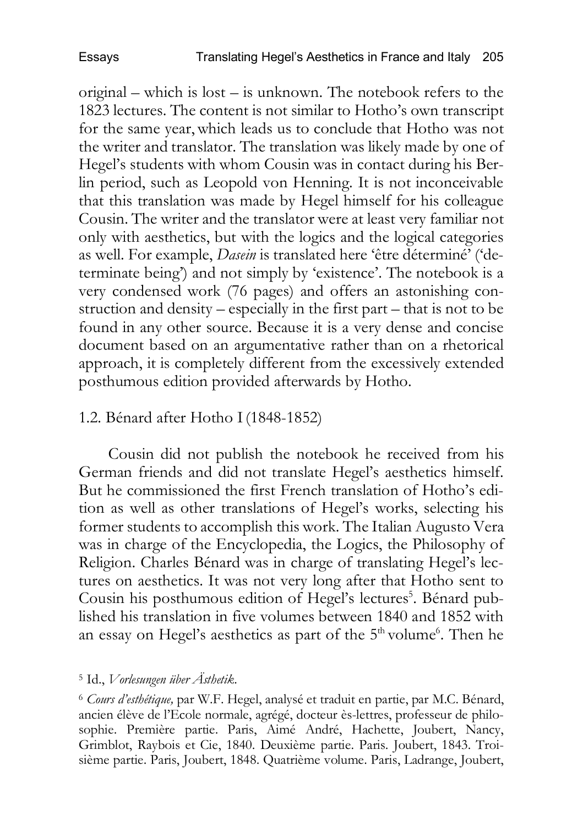original – which is lost – is unknown. The notebook refers to the 1823 lectures. The content is not similar to Hotho's own transcript for the same year,which leads us to conclude that Hotho was not the writer and translator. The translation was likely made by one of Hegel's students with whom Cousin was in contact during his Berlin period, such as Leopold von Henning. It is not inconceivable that this translation was made by Hegel himself for his colleague Cousin. The writer and the translator were at least very familiar not only with aesthetics, but with the logics and the logical categories as well. For example, *Dasein* is translated here 'être déterminé' ('determinate being') and not simply by 'existence'. The notebook is a very condensed work (76 pages) and offers an astonishing construction and density – especially in the first part – that is not to be found in any other source. Because it is a very dense and concise document based on an argumentative rather than on a rhetorical approach, it is completely different from the excessively extended posthumous edition provided afterwards by Hotho.

# 1.2. Bénard after Hotho I(1848-1852)

Cousin did not publish the notebook he received from his German friends and did not translate Hegel's aesthetics himself. But he commissioned the first French translation of Hotho's edition as well as other translations of Hegel's works, selecting his former students to accomplish this work. The Italian Augusto Vera was in charge of the Encyclopedia, the Logics, the Philosophy of Religion. Charles Bénard was in charge of translating Hegel's lectures on aesthetics. It was not very long after that Hotho sent to Cousin his posthumous edition of Hegel's lectures<sup>5</sup>. Bénard published his translation in five volumes between 1840 and 1852 with an essay on Hegel's aesthetics as part of the 5<sup>th</sup> volume<sup>6</sup>. Then he

### <sup>5</sup> Id., *Vorlesungen über Ästhetik*.

<sup>6</sup> *Cours d'esthétique,* par W.F. Hegel, analysé et traduit en partie, par M.C. Bénard, ancien élève de l'Ecole normale, agrégé, docteur ès-lettres, professeur de philosophie. Première partie. Paris, Aimé André, Hachette, Joubert, Nancy, Grimblot, Raybois et Cie, 1840. Deuxième partie. Paris. Joubert, 1843. Troisième partie. Paris, Joubert, 1848. Quatrième volume. Paris, Ladrange, Joubert,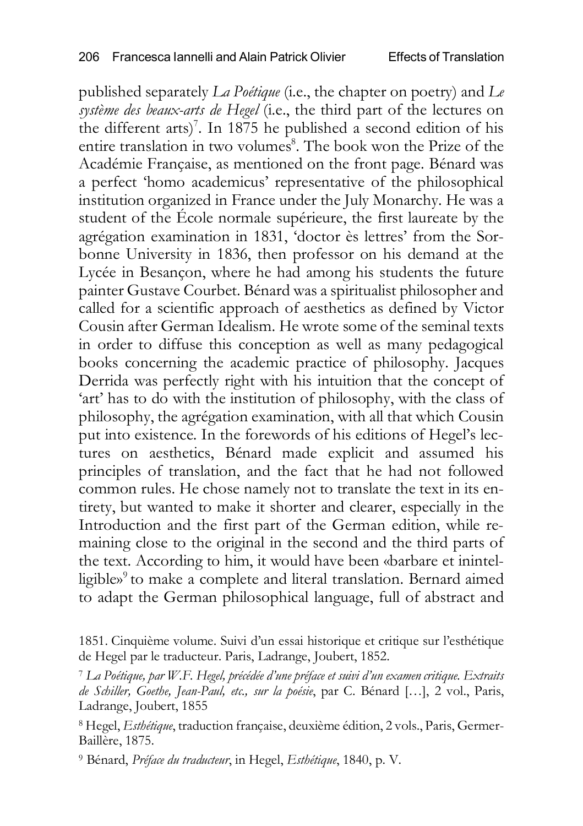published separately *La Poétique* (i.e., the chapter on poetry) and *Le système des beaux-arts de Hegel* (i.e., the third part of the lectures on the different arts)<sup>7</sup>. In 1875 he published a second edition of his entire translation in two volumes<sup>8</sup>. The book won the Prize of the Académie Française, as mentioned on the front page. Bénard was a perfect 'homo academicus' representative of the philosophical institution organized in France under the July Monarchy. He was a student of the École normale supérieure, the first laureate by the agrégation examination in 1831, 'doctor ès lettres' from the Sorbonne University in 1836, then professor on his demand at the Lycée in Besançon, where he had among his students the future painter Gustave Courbet. Bénard was a spiritualist philosopher and called for a scientific approach of aesthetics as defined by Victor Cousin after German Idealism. He wrote some of the seminal texts in order to diffuse this conception as well as many pedagogical books concerning the academic practice of philosophy. Jacques Derrida was perfectly right with his intuition that the concept of 'art' has to do with the institution of philosophy, with the class of philosophy, the agrégation examination, with all that which Cousin put into existence. In the forewords of his editions of Hegel's lectures on aesthetics, Bénard made explicit and assumed his principles of translation, and the fact that he had not followed common rules. He chose namely not to translate the text in its entirety, but wanted to make it shorter and clearer, especially in the Introduction and the first part of the German edition, while remaining close to the original in the second and the third parts of the text. According to him, it would have been «barbare et inintelligible» <sup>9</sup> to make a complete and literal translation. Bernard aimed to adapt the German philosophical language, full of abstract and

<sup>1851.</sup> Cinquième volume. Suivi d'un essai historique et critique sur l'esthétique de Hegel par le traducteur. Paris, Ladrange, Joubert, 1852.

<sup>7</sup> *La Poétique, par W.F. Hegel, précédée d'une préface et suivi d'un examen critique. Extraits de Schiller, Goethe, Jean-Paul, etc., sur la poésie*, par C. Bénard […], 2 vol., Paris, Ladrange, Joubert, 1855

<sup>8</sup> Hegel, *Esthétique*, traduction française, deuxième édition, 2 vols., Paris, Germer-Baillère, 1875.

<sup>9</sup> Bénard, *Préface du traducteur*, in Hegel, *Esthétique*, 1840, p. V.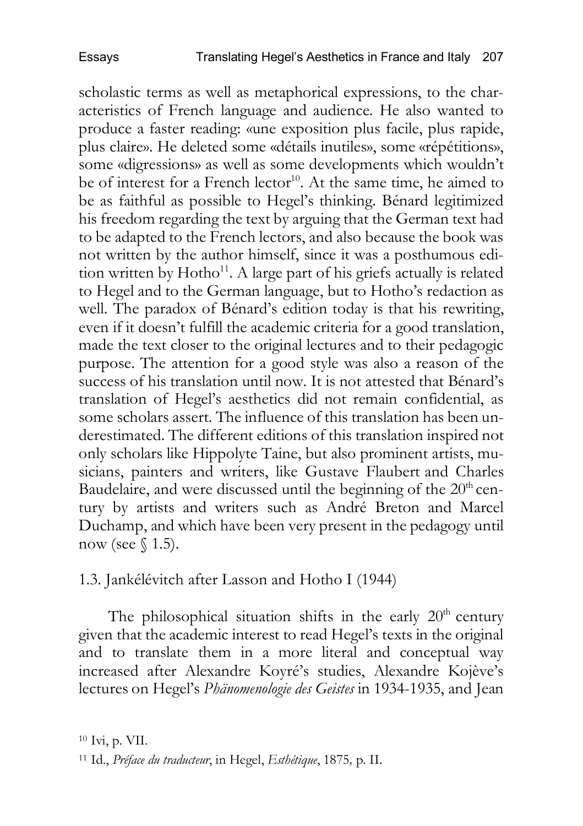scholastic terms as well as metaphorical expressions, to the characteristics of French language and audience. He also wanted to produce a faster reading: «une exposition plus facile, plus rapide, plus claire». He deleted some «détails inutiles», some «répétitions», some «digressions» as well as some developments which wouldn't be of interest for a French lector<sup>10</sup>. At the same time, he aimed to be as faithful as possible to Hegel's thinking. Bénard legitimized his freedom regarding the text by arguing that the German text had to be adapted to the French lectors, and also because the book was not written by the author himself, since it was a posthumous edition written by  $Hotho<sup>11</sup>$ . A large part of his griefs actually is related to Hegel and to the German language, but to Hotho's redaction as well. The paradox of Bénard's edition today is that his rewriting, even if it doesn't fulfill the academic criteria for a good translation, made the text closer to the original lectures and to their pedagogic purpose. The attention for a good style was also a reason of the success of his translation until now. It is not attested that Bénard's translation of Hegel's aesthetics did not remain confidential, as some scholars assert. The influence of this translation has been underestimated. The different editions of this translation inspired not only scholars like Hippolyte Taine, but also prominent artists, musicians, painters and writers, like Gustave Flaubert and Charles Baudelaire, and were discussed until the beginning of the  $20<sup>th</sup>$  century by artists and writers such as André Breton and Marcel Duchamp, and which have been very present in the pedagogy until now (see  $$1.5$ ).

1.3. Jankélévitch after Lasson and Hotho I (1944)

The philosophical situation shifts in the early  $20<sup>th</sup>$  century given that the academic interest to read Hegel's texts in the original and to translate them in a more literal and conceptual way increased after Alexandre Koyré's studies, Alexandre Kojève's lectures on Hegel's *Phänomenologie des Geistes* in 1934-1935, and Jean

<sup>10</sup> Ivi, p. VII.

<sup>11</sup> Id., *Préface du traducteur*, in Hegel, *Esthétique*, 1875*,* p. II.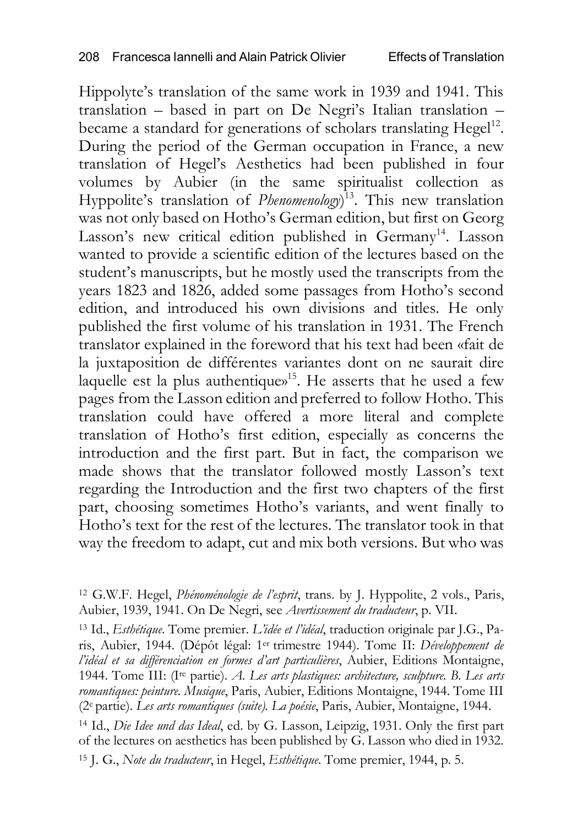Hippolyte's translation of the same work in 1939 and 1941. This translation – based in part on De Negri's Italian translation – became a standard for generations of scholars translating Hegel<sup>12</sup>. During the period of the German occupation in France, a new translation of Hegel's Aesthetics had been published in four volumes by Aubier (in the same spiritualist collection as Hyppolite's translation of *Phenomenology*) 13. This new translation was not only based on Hotho's German edition, but first on Georg Lasson's new critical edition published in Germany<sup>14</sup>. Lasson wanted to provide a scientific edition of the lectures based on the student's manuscripts, but he mostly used the transcripts from the years 1823 and 1826, added some passages from Hotho's second edition, and introduced his own divisions and titles. He only published the first volume of his translation in 1931. The French translator explained in the foreword that his text had been «fait de la juxtaposition de différentes variantes dont on ne saurait dire laquelle est la plus authentique» 15. He asserts that he used a few pages from the Lasson edition and preferred to follow Hotho. This translation could have offered a more literal and complete translation of Hotho's first edition, especially as concerns the introduction and the first part. But in fact, the comparison we made shows that the translator followed mostly Lasson's text regarding the Introduction and the first two chapters of the first part, choosing sometimes Hotho's variants, and went finally to Hotho's text for the rest of the lectures. The translator took in that way the freedom to adapt, cut and mix both versions. But who was

<sup>13</sup> Id., *Esthétique*. Tome premier. *L'idée et l'idéal*, traduction originale par J.G., Paris, Aubier, 1944. (Dépôt légal: 1er trimestre 1944). Tome II: *Développement de l'idéal et sa différenciation en formes d'art particulières*, Aubier, Editions Montaigne, 1944. Tome III: (Ire partie). *A. Les arts plastiques: architecture, sculpture. B. Les arts romantiques: peinture. Musique*, Paris, Aubier, Editions Montaigne, 1944. Tome III (2e partie). *Les arts romantiques (suite). La poésie*, Paris, Aubier, Montaigne, 1944.

<sup>14</sup> Id., *Die Idee und das Ideal*, ed. by G. Lasson, Leipzig, 1931. Only the first part of the lectures on aesthetics has been published by G. Lasson who died in 1932.

<sup>15</sup> J. G., *Note du traducteur*, in Hegel, *Esthétique*. Tome premier, 1944, p. 5.

<sup>12</sup> G.W.F. Hegel, *Phénoménologie de l'esprit*, trans. by J. Hyppolite, 2 vols., Paris, Aubier, 1939, 1941. On De Negri, see *Avertissement du traducteur*, p. VII.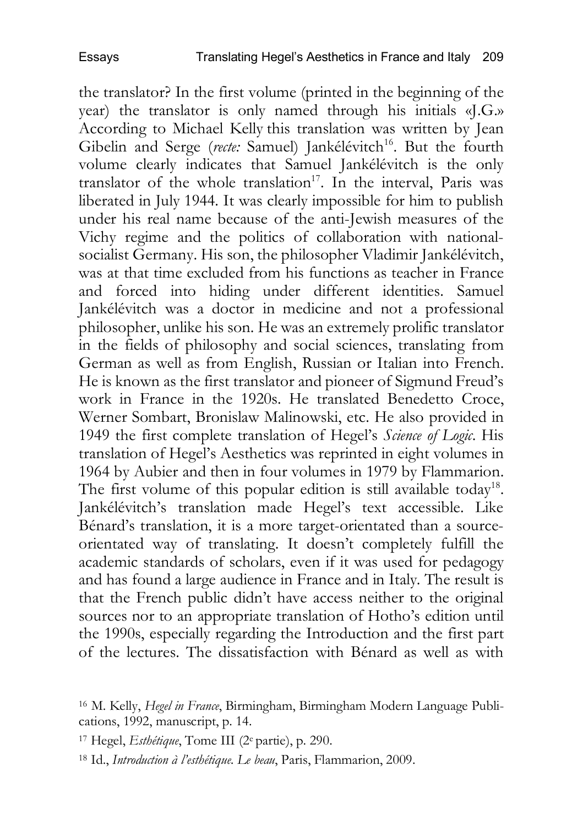the translator? In the first volume (printed in the beginning of the year) the translator is only named through his initials «J.G.» According to Michael Kelly this translation was written by Jean Gibelin and Serge (recte: Samuel) Jankélévitch<sup>16</sup>. But the fourth volume clearly indicates that Samuel Jankélévitch is the only translator of the whole translation<sup>17</sup>. In the interval, Paris was liberated in July 1944. It was clearly impossible for him to publish under his real name because of the anti-Jewish measures of the Vichy regime and the politics of collaboration with nationalsocialist Germany. His son, the philosopher Vladimir Jankélévitch, was at that time excluded from his functions as teacher in France and forced into hiding under different identities. Samuel Jankélévitch was a doctor in medicine and not a professional philosopher, unlike his son. He was an extremely prolific translator in the fields of philosophy and social sciences, translating from German as well as from English, Russian or Italian into French. He is known as the first translator and pioneer of Sigmund Freud's work in France in the 1920s. He translated Benedetto Croce, Werner Sombart, Bronislaw Malinowski, etc. He also provided in 1949 the first complete translation of Hegel's *Science of Logic*. His translation of Hegel's Aesthetics was reprinted in eight volumes in 1964 by Aubier and then in four volumes in 1979 by Flammarion. The first volume of this popular edition is still available today<sup>18</sup>. Jankélévitch's translation made Hegel's text accessible. Like Bénard's translation, it is a more target-orientated than a sourceorientated way of translating. It doesn't completely fulfill the academic standards of scholars, even if it was used for pedagogy and has found a large audience in France and in Italy. The result is that the French public didn't have access neither to the original sources nor to an appropriate translation of Hotho's edition until the 1990s, especially regarding the Introduction and the first part of the lectures. The dissatisfaction with Bénard as well as with

<sup>16</sup> M. Kelly, *Hegel in France*, Birmingham, Birmingham Modern Language Publications, 1992, manuscript, p. 14.

<sup>17</sup> Hegel, *Esthétique*, Tome III (2e partie), p. 290.

<sup>18</sup> Id., *Introduction à l'esthétique. Le beau*, Paris, Flammarion, 2009.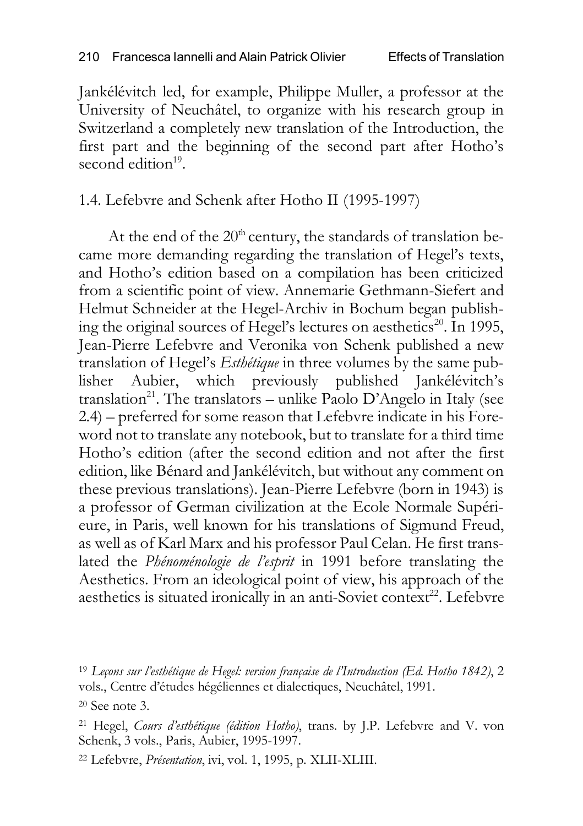Jankélévitch led, for example, Philippe Muller, a professor at the University of Neuchâtel, to organize with his research group in Switzerland a completely new translation of the Introduction, the first part and the beginning of the second part after Hotho's second edition $19$ .

# 1.4. Lefebvre and Schenk after Hotho II (1995-1997)

At the end of the  $20<sup>th</sup>$  century, the standards of translation became more demanding regarding the translation of Hegel's texts, and Hotho's edition based on a compilation has been criticized from a scientific point of view. Annemarie Gethmann-Siefert and Helmut Schneider at the Hegel-Archiv in Bochum began publishing the original sources of Hegel's lectures on aesthetics<sup>20</sup>. In 1995, Jean-Pierre Lefebvre and Veronika von Schenk published a new translation of Hegel's *Esthétique* in three volumes by the same publisher Aubier, which previously published Jankélévitch's translation<sup>21</sup>. The translators – unlike Paolo D'Angelo in Italy (see 2.4) – preferred for some reason that Lefebvre indicate in his Foreword not to translate any notebook, but to translate for a third time Hotho's edition (after the second edition and not after the first edition, like Bénard and Jankélévitch, but without any comment on these previous translations). Jean-Pierre Lefebvre (born in 1943) is a professor of German civilization at the Ecole Normale Supérieure, in Paris, well known for his translations of Sigmund Freud, as well as of Karl Marx and his professor Paul Celan. He first translated the *Phénoménologie de l'esprit* in 1991 before translating the Aesthetics. From an ideological point of view, his approach of the aesthetics is situated ironically in an anti-Soviet context<sup>22</sup>. Lefebvre

<sup>19</sup> *Leçons sur l'esthétique de Hegel: version française de l'Introduction (Ed. Hotho 1842)*, 2 vols., Centre d'études hégéliennes et dialectiques, Neuchâtel, 1991.

 $20$  See note 3.

<sup>21</sup> Hegel, *Cours d'esthétique (édition Hotho)*, trans. by J.P. Lefebvre and V. von Schenk, 3 vols., Paris, Aubier, 1995-1997.

<sup>22</sup> Lefebvre, *Présentation*, ivi, vol. 1, 1995, p. XLII-XLIII.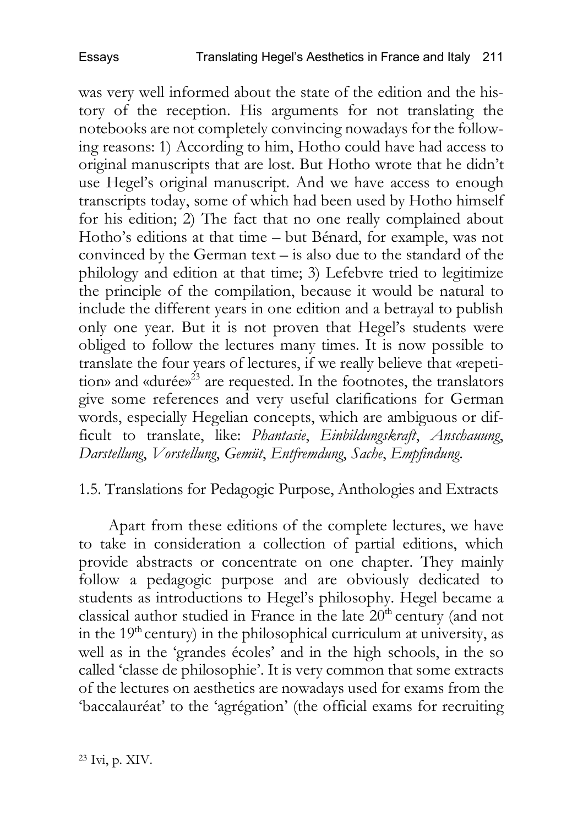was very well informed about the state of the edition and the history of the reception. His arguments for not translating the notebooks are not completely convincing nowadays for the following reasons: 1) According to him, Hotho could have had access to original manuscripts that are lost. But Hotho wrote that he didn't use Hegel's original manuscript. And we have access to enough transcripts today, some of which had been used by Hotho himself for his edition; 2) The fact that no one really complained about Hotho's editions at that time – but Bénard, for example, was not convinced by the German text – is also due to the standard of the philology and edition at that time; 3) Lefebvre tried to legitimize the principle of the compilation, because it would be natural to include the different years in one edition and a betrayal to publish only one year. But it is not proven that Hegel's students were obliged to follow the lectures many times. It is now possible to translate the four years of lectures, if we really believe that «repetition» and «durée» <sup>23</sup> are requested. In the footnotes, the translators give some references and very useful clarifications for German words, especially Hegelian concepts, which are ambiguous or difficult to translate, like: *Phantasie*, *Einbildungskraft*, *Anschauung*, *Darstellung*, *Vorstellung*, *Gemüt*, *Entfremdung*, *Sache*, *Empfindung*.

1.5. Translations for Pedagogic Purpose, Anthologies and Extracts

Apart from these editions of the complete lectures, we have to take in consideration a collection of partial editions, which provide abstracts or concentrate on one chapter. They mainly follow a pedagogic purpose and are obviously dedicated to students as introductions to Hegel's philosophy. Hegel became a classical author studied in France in the late  $20<sup>th</sup>$  century (and not in the  $19<sup>th</sup>$  century) in the philosophical curriculum at university, as well as in the 'grandes écoles' and in the high schools, in the so called 'classe de philosophie'. It is very common that some extracts of the lectures on aesthetics are nowadays used for exams from the 'baccalauréat' to the 'agrégation' (the official exams for recruiting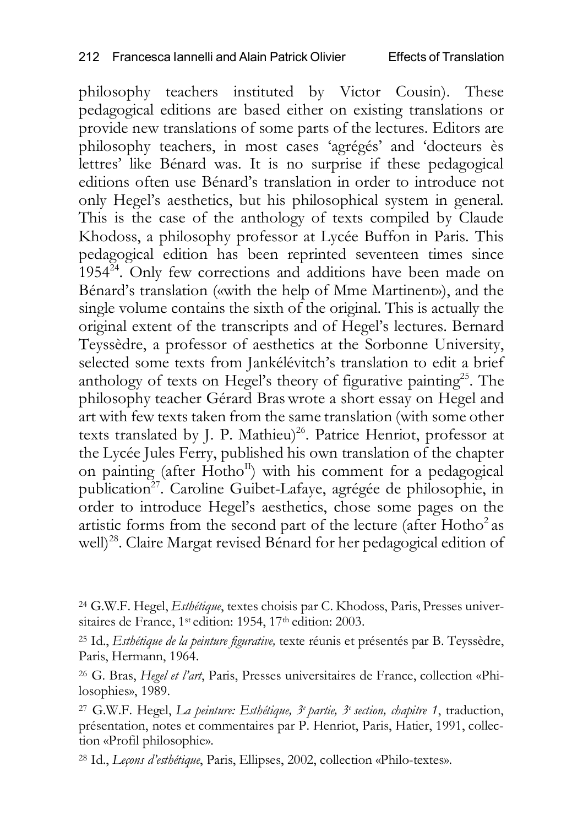philosophy teachers instituted by Victor Cousin). These pedagogical editions are based either on existing translations or provide new translations of some parts of the lectures. Editors are philosophy teachers, in most cases 'agrégés' and 'docteurs ès lettres' like Bénard was. It is no surprise if these pedagogical editions often use Bénard's translation in order to introduce not only Hegel's aesthetics, but his philosophical system in general. This is the case of the anthology of texts compiled by Claude Khodoss, a philosophy professor at Lycée Buffon in Paris. This pedagogical edition has been reprinted seventeen times since  $1954^{24}$ . Only few corrections and additions have been made on Bénard's translation («with the help of Mme Martinent»), and the single volume contains the sixth of the original. This is actually the original extent of the transcripts and of Hegel's lectures. Bernard Teyssèdre, a professor of aesthetics at the Sorbonne University, selected some texts from Jankélévitch's translation to edit a brief anthology of texts on Hegel's theory of figurative painting<sup>25</sup>. The philosophy teacher Gérard Braswrote a short essay on Hegel and art with few texts taken from the same translation (with some other texts translated by J. P. Mathieu)<sup>26</sup>. Patrice Henriot, professor at the Lycée Jules Ferry, published his own translation of the chapter on painting (after Hotho $I<sup>I</sup>$ ) with his comment for a pedagogical publication<sup>27</sup>. Caroline Guibet-Lafaye, agrégée de philosophie, in order to introduce Hegel's aesthetics, chose some pages on the artistic forms from the second part of the lecture (after  $Hotho<sup>2</sup>$  as well)<sup>28</sup>. Claire Margat revised Bénard for her pedagogical edition of

<sup>24</sup> G.W.F. Hegel, *Esthétique*, textes choisis par C. Khodoss, Paris, Presses universitaires de France, 1<sup>st</sup> edition: 1954, 17<sup>th</sup> edition: 2003.

<sup>25</sup> Id., *Esthétique de la peinture figurative,* texte réunis et présentés par B. Teyssèdre, Paris, Hermann, 1964.

<sup>26</sup> G. Bras, *Hegel et l'art*, Paris, Presses universitaires de France, collection «Philosophies», 1989.

<sup>27</sup> G.W.F. Hegel, *La peinture: Esthétique, 3e partie, 3e section, chapitre 1*, traduction, présentation, notes et commentaires par P. Henriot, Paris, Hatier, 1991, collection «Profil philosophie».

<sup>28</sup> Id., *Leçons d'esthétique*, Paris, Ellipses, 2002, collection «Philo-textes».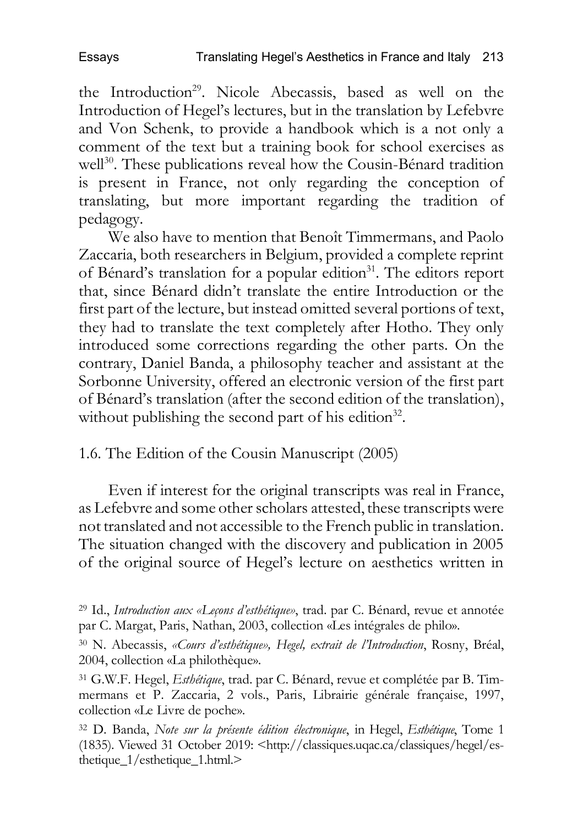the Introduction<sup>29</sup>. Nicole Abecassis, based as well on the Introduction of Hegel's lectures, but in the translation by Lefebvre and Von Schenk, to provide a handbook which is a not only a comment of the text but a training book for school exercises as well<sup>30</sup>. These publications reveal how the Cousin-Bénard tradition is present in France, not only regarding the conception of translating, but more important regarding the tradition of pedagogy.

We also have to mention that Benoît Timmermans, and Paolo Zaccaria, both researchers in Belgium, provided a complete reprint of Bénard's translation for a popular edition<sup>31</sup>. The editors report that, since Bénard didn't translate the entire Introduction or the first part of the lecture, but instead omitted several portions of text, they had to translate the text completely after Hotho. They only introduced some corrections regarding the other parts. On the contrary, Daniel Banda, a philosophy teacher and assistant at the Sorbonne University, offered an electronic version of the first part of Bénard's translation (after the second edition of the translation), without publishing the second part of his edition<sup>32</sup>.

1.6. The Edition of the Cousin Manuscript (2005)

Even if interest for the original transcripts was real in France, as Lefebvre and some other scholars attested, these transcripts were not translated and not accessible to the French public in translation. The situation changed with the discovery and publication in 2005 of the original source of Hegel's lecture on aesthetics written in

<sup>29</sup> Id., *Introduction aux «Leçons d'esthétique»*, trad. par C. Bénard, revue et annotée par C. Margat, Paris, Nathan, 2003, collection «Les intégrales de philo».

<sup>30</sup> N. Abecassis, *«Cours d'esthétique», Hegel, extrait de l'Introduction*, Rosny, Bréal, 2004, collection «La philothèque».

<sup>31</sup> G.W.F. Hegel, *Esthétique*, trad. par C. Bénard, revue et complétée par B. Timmermans et P. Zaccaria, 2 vols., Paris, Librairie générale française, 1997, collection «Le Livre de poche».

<sup>32</sup> D. Banda, *Note sur la présente édition électronique*, in Hegel, *Esthétique*, Tome 1 (1835). Viewed 31 October 2019: <http://classiques.uqac.ca/classiques/hegel/esthetique\_1/esthetique\_1.html.>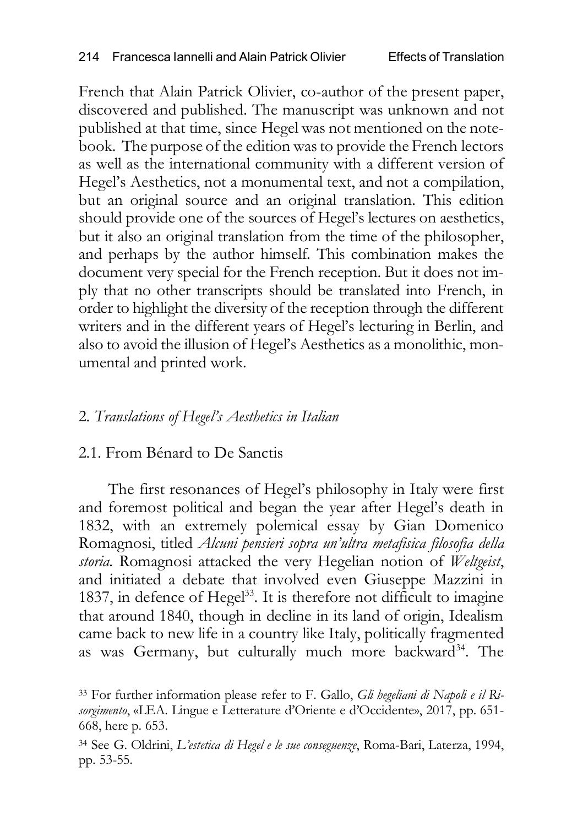French that Alain Patrick Olivier, co-author of the present paper, discovered and published. The manuscript was unknown and not published at that time, since Hegel was not mentioned on the notebook. The purpose of the edition wasto provide the French lectors as well as the international community with a different version of Hegel's Aesthetics, not a monumental text, and not a compilation, but an original source and an original translation. This edition should provide one of the sources of Hegel's lectures on aesthetics, but it also an original translation from the time of the philosopher, and perhaps by the author himself. This combination makes the document very special for the French reception. But it does not imply that no other transcripts should be translated into French, in order to highlight the diversity of the reception through the different writers and in the different years of Hegel's lecturing in Berlin, and also to avoid the illusion of Hegel's Aesthetics as a monolithic, monumental and printed work.

# 2. *Translations of Hegel's Aesthetics in Italian*

## 2.1. From Bénard to De Sanctis

The first resonances of Hegel's philosophy in Italy were first and foremost political and began the year after Hegel's death in 1832, with an extremely polemical essay by Gian Domenico Romagnosi, titled *Alcuni pensieri sopra un'ultra metafisica filosofia della storia*. Romagnosi attacked the very Hegelian notion of *Weltgeist*, and initiated a debate that involved even Giuseppe Mazzini in 1837, in defence of Hegel<sup>33</sup>. It is therefore not difficult to imagine that around 1840, though in decline in its land of origin, Idealism came back to new life in a country like Italy, politically fragmented as was Germany, but culturally much more backward<sup>34</sup>. The

<sup>33</sup> For further information please refer to F. Gallo, *Gli hegeliani di Napoli e il Risorgimento*, «LEA. Lingue e Letterature d'Oriente e d'Occidente», 2017, pp. 651- 668, here p. 653.

<sup>34</sup> See G. Oldrini, *L'estetica di Hegel e le sue conseguenze*, Roma-Bari, Laterza, 1994, pp. 53-55*.*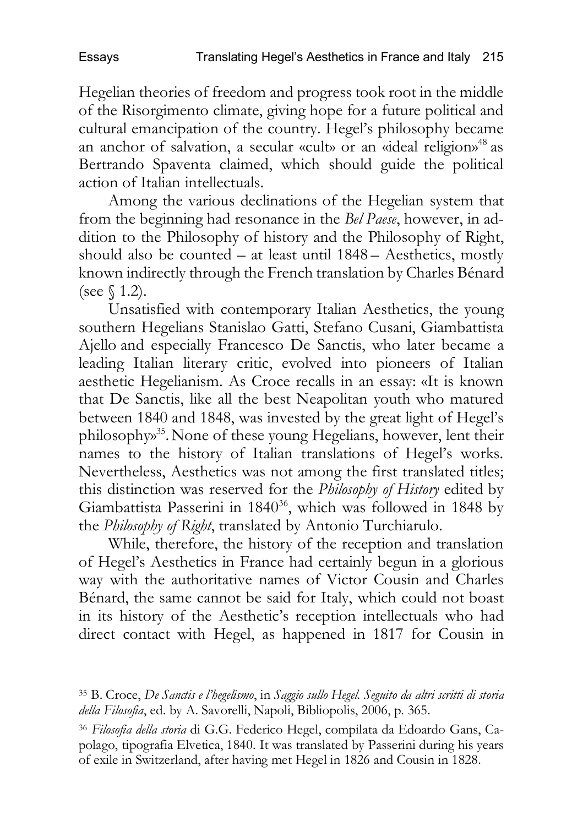Hegelian theories of freedom and progress took root in the middle of the Risorgimento climate, giving hope for a future political and cultural emancipation of the country. Hegel's philosophy became an anchor of salvation, a secular «cult» or an «ideal religion» 48 as Bertrando Spaventa claimed, which should guide the political action of Italian intellectuals.

Among the various declinations of the Hegelian system that from the beginning had resonance in the *Bel Paese*, however, in addition to the Philosophy of history and the Philosophy of Right, should also be counted – at least until 1848 – Aesthetics, mostly known indirectly through the French translation by Charles Bénard (see § 1.2).

Unsatisfied with contemporary Italian Aesthetics, the young southern Hegelians Stanislao Gatti, Stefano Cusani, Giambattista Ajello and especially Francesco De Sanctis, who later became a leading Italian literary critic, evolved into pioneers of Italian aesthetic Hegelianism. As Croce recalls in an essay: «It is known that De Sanctis, like all the best Neapolitan youth who matured between 1840 and 1848, was invested by the great light of Hegel's philosophy» 35.None of these young Hegelians, however, lent their names to the history of Italian translations of Hegel's works. Nevertheless, Aesthetics was not among the first translated titles; this distinction was reserved for the *Philosophy of History* edited by Giambattista Passerini in 1840<sup>36</sup>, which was followed in 1848 by the *Philosophy of Right*, translated by Antonio Turchiarulo.

While, therefore, the history of the reception and translation of Hegel's Aesthetics in France had certainly begun in a glorious way with the authoritative names of Victor Cousin and Charles Bénard, the same cannot be said for Italy, which could not boast in its history of the Aesthetic's reception intellectuals who had direct contact with Hegel, as happened in 1817 for Cousin in

<sup>35</sup> B. Croce, *De Sanctis e l'hegelismo*, in *Saggio sullo Hegel. Seguito da altri scritti di storia della Filosofia*, ed. by A. Savorelli, Napoli, Bibliopolis, 2006, p. 365.

<sup>36</sup> *Filosofia della storia* di G.G. Federico Hegel, compilata da Edoardo Gans, Capolago, tipografia Elvetica, 1840. It was translated by Passerini during his years of exile in Switzerland, after having met Hegel in 1826 and Cousin in 1828.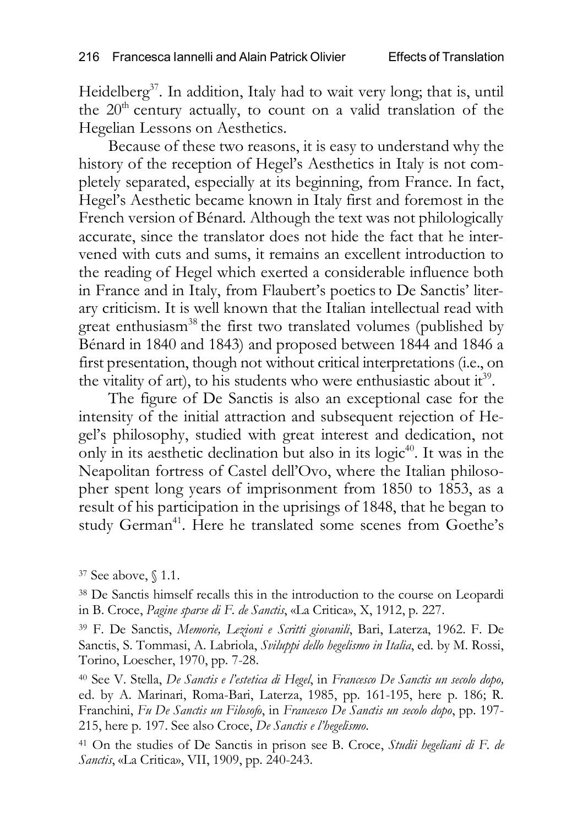Heidelberg<sup>37</sup>. In addition, Italy had to wait very long; that is, until the  $20<sup>th</sup>$  century actually, to count on a valid translation of the Hegelian Lessons on Aesthetics.

Because of these two reasons, it is easy to understand why the history of the reception of Hegel's Aesthetics in Italy is not completely separated, especially at its beginning, from France. In fact, Hegel's Aesthetic became known in Italy first and foremost in the French version of Bénard. Although the text was not philologically accurate, since the translator does not hide the fact that he intervened with cuts and sums, it remains an excellent introduction to the reading of Hegel which exerted a considerable influence both in France and in Italy, from Flaubert's poeticsto De Sanctis' literary criticism. It is well known that the Italian intellectual read with great enthusiasm<sup>38</sup> the first two translated volumes (published by Bénard in 1840 and 1843) and proposed between 1844 and 1846 a first presentation, though not without critical interpretations (i.e., on the vitality of art), to his students who were enthusiastic about  $it^{39}$ .

The figure of De Sanctis is also an exceptional case for the intensity of the initial attraction and subsequent rejection of Hegel's philosophy, studied with great interest and dedication, not only in its aesthetic declination but also in its logic $40$ . It was in the Neapolitan fortress of Castel dell'Ovo, where the Italian philosopher spent long years of imprisonment from 1850 to 1853, as a result of his participation in the uprisings of 1848, that he began to study German<sup>41</sup>. Here he translated some scenes from Goethe's

<sup>37</sup> See above, § 1.1.

<sup>38</sup> De Sanctis himself recalls this in the introduction to the course on Leopardi in B. Croce, *Pagine sparse di F. de Sanctis*, «La Critica», X, 1912, p. 227.

<sup>39</sup> F. De Sanctis, *Memorie, Lezioni e Scritti giovanili*, Bari, Laterza, 1962. F. De Sanctis, S. Tommasi, A. Labriola, *Sviluppi dello hegelismo in Italia*, ed. by M. Rossi, Torino, Loescher, 1970, pp. 7-28.

<sup>40</sup> See V. Stella, *De Sanctis e l'estetica di Hegel*, in *Francesco De Sanctis un secolo dopo,* ed. by A. Marinari, Roma-Bari, Laterza, 1985, pp. 161-195, here p. 186; R. Franchini, *Fu De Sanctis un Filosofo*, in *Francesco De Sanctis un secolo dopo*, pp. 197- 215, here p. 197. See also Croce, *De Sanctis e l'hegelismo*.

<sup>41</sup> On the studies of De Sanctis in prison see B. Croce, *Studii hegeliani di F. de Sanctis*, «La Critica», VII, 1909, pp. 240-243.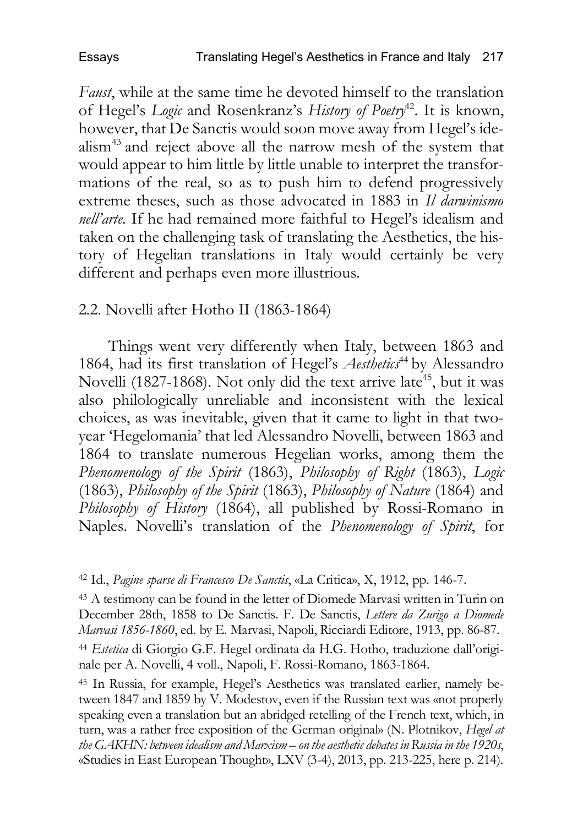*Faust*, while at the same time he devoted himself to the translation of Hegel's *Logic* and Rosenkranz's *History of Poetry*42. It is known, however, that De Sanctis would soon move away from Hegel's idealism43 and reject above all the narrow mesh of the system that would appear to him little by little unable to interpret the transformations of the real, so as to push him to defend progressively extreme theses, such as those advocated in 1883 in *Il darwinismo nell'arte.* If he had remained more faithful to Hegel's idealism and taken on the challenging task of translating the Aesthetics, the history of Hegelian translations in Italy would certainly be very different and perhaps even more illustrious.

2.2. Novelli after Hotho II (1863-1864)

Things went very differently when Italy, between 1863 and 1864, had its first translation of Hegel's Aesthetics<sup>44</sup> by Alessandro Novelli (1827-1868). Not only did the text arrive late<sup>45</sup>, but it was also philologically unreliable and inconsistent with the lexical choices, as was inevitable, given that it came to light in that twoyear 'Hegelomania' that led Alessandro Novelli, between 1863 and 1864 to translate numerous Hegelian works, among them the *Phenomenology of the Spirit* (1863), *Philosophy of Right* (1863), *Logic*  (1863), *Philosophy of the Spirit* (1863), *Philosophy of Nature* (1864) and *Philosophy of History* (1864), all published by Rossi-Romano in Naples. Novelli's translation of the *Phenomenology of Spirit*, for

<sup>42</sup> Id., *Pagine sparse di Francesco De Sanctis*, «La Critica», X, 1912, pp. 146-7.

<sup>43</sup> A testimony can be found in the letter of Diomede Marvasi written in Turin on December 28th, 1858 to De Sanctis. F. De Sanctis, *Lettere da Zurigo a Diomede Marvasi 1856-1860*, ed. by E. Marvasi, Napoli, Ricciardi Editore, 1913, pp. 86-87.

<sup>44</sup> *Estetica* di Giorgio G.F. Hegel ordinata da H.G. Hotho, traduzione dall'originale per A. Novelli, 4 voll., Napoli, F. Rossi-Romano, 1863-1864.

<sup>45</sup> In Russia, for example, Hegel's Aesthetics was translated earlier, namely between 1847 and 1859 by V. Modestov, even if the Russian text was «not properly speaking even a translation but an abridged retelling of the French text, which, in turn, was a rather free exposition of the German original» (N. Plotnikov, *Hegel at the GAKHN: between idealism and Marxism – on the aesthetic debates in Russia in the 1920s*, «Studies in East European Thought», LXV (3-4), 2013, pp. 213-225, here p. 214).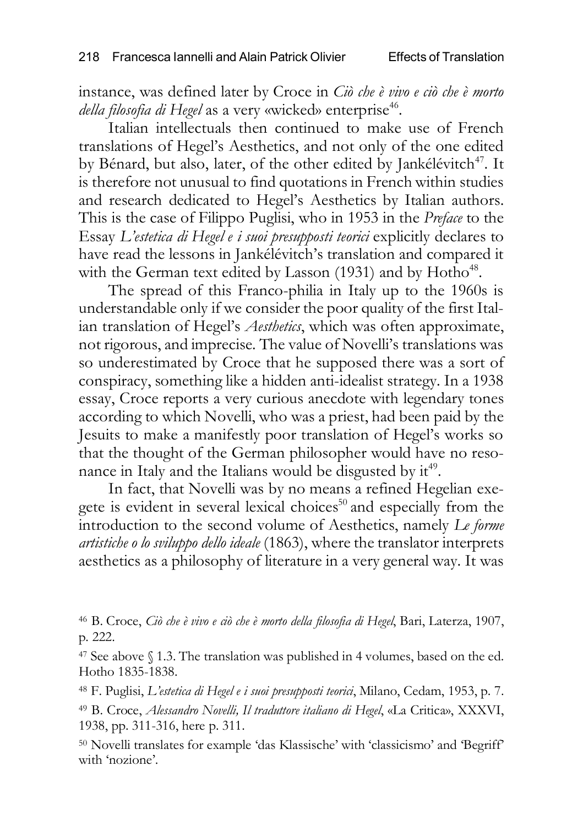instance, was defined later by Croce in *Ciò che è vivo e ciò che è morto della filosofia di Hegel* as a very «wicked» enterprise<sup>46</sup>.

Italian intellectuals then continued to make use of French translations of Hegel's Aesthetics, and not only of the one edited by Bénard, but also, later, of the other edited by Jankélévitch<sup>47</sup>. It is therefore not unusual to find quotations in French within studies and research dedicated to Hegel's Aesthetics by Italian authors. This is the case of Filippo Puglisi, who in 1953 in the *Preface* to the Essay *L'estetica di Hegel e i suoi presupposti teorici* explicitly declares to have read the lessons in Jankélévitch's translation and compared it with the German text edited by Lasson  $(1931)$  and by Hotho<sup>48</sup>.

The spread of this Franco-philia in Italy up to the 1960s is understandable only if we consider the poor quality of the first Italian translation of Hegel's *Aesthetics*, which was often approximate, not rigorous, and imprecise*.* The value of Novelli's translations was so underestimated by Croce that he supposed there was a sort of conspiracy, something like a hidden anti-idealist strategy. In a 1938 essay, Croce reports a very curious anecdote with legendary tones according to which Novelli, who was a priest, had been paid by the Jesuits to make a manifestly poor translation of Hegel's works so that the thought of the German philosopher would have no resonance in Italy and the Italians would be disgusted by  $it^{49}$ .

In fact, that Novelli was by no means a refined Hegelian exegete is evident in several lexical choices<sup>50</sup> and especially from the introduction to the second volume of Aesthetics, namely *Le forme artistiche o lo sviluppo dello ideale* (1863), where the translator interprets aesthetics as a philosophy of literature in a very general way. It was

<sup>46</sup> B. Croce, *Ciò che è vivo e ciò che è morto della filosofia di Hegel*, Bari, Laterza, 1907, p. 222.

<sup>47</sup> See above § 1.3. The translation was published in 4 volumes, based on the ed. Hotho 1835-1838.

<sup>48</sup> F. Puglisi, *L'estetica di Hegel e i suoi presupposti teorici*, Milano, Cedam, 1953, p. 7.

<sup>49</sup> B. Croce, *Alessandro Novelli, Il traduttore italiano di Hegel*, «La Critica», XXXVI, 1938, pp. 311-316, here p. 311.

<sup>50</sup> Novelli translates for example 'das Klassische' with 'classicismo' and 'Begriff' with 'nozione'.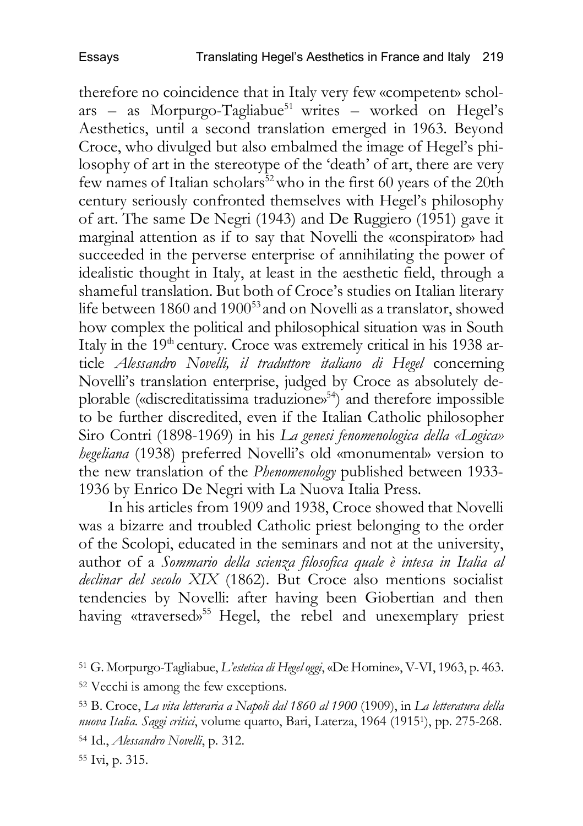therefore no coincidence that in Italy very few «competent» schol $ars - as Morpurgo-Tagliabue<sup>51</sup> writes - worked on Hegel's$ Aesthetics, until a second translation emerged in 1963. Beyond Croce, who divulged but also embalmed the image of Hegel's philosophy of art in the stereotype of the 'death' of art, there are very few names of Italian scholars<sup>52</sup> who in the first 60 years of the 20th century seriously confronted themselves with Hegel's philosophy of art. The same De Negri (1943) and De Ruggiero (1951) gave it marginal attention as if to say that Novelli the «conspirator» had succeeded in the perverse enterprise of annihilating the power of idealistic thought in Italy, at least in the aesthetic field, through a shameful translation. But both of Croce's studies on Italian literary life between 1860 and 1900<sup>53</sup> and on Novelli as a translator, showed how complex the political and philosophical situation was in South Italy in the 19<sup>th</sup> century. Croce was extremely critical in his 1938 article *Alessandro Novelli, il traduttore italiano di Hegel* concerning Novelli's translation enterprise, judged by Croce as absolutely deplorable («discreditatissima traduzione»<sup>54</sup>) and therefore impossible to be further discredited, even if the Italian Catholic philosopher Siro Contri (1898-1969) in his *La genesi fenomenologica della «Logica» hegeliana* (1938) preferred Novelli's old «monumental» version to the new translation of the *Phenomenology* published between 1933- 1936 by Enrico De Negri with La Nuova Italia Press.

In his articles from 1909 and 1938, Croce showed that Novelli was a bizarre and troubled Catholic priest belonging to the order of the Scolopi, educated in the seminars and not at the university, author of a *Sommario della scienza filosofica quale è intesa in Italia al declinar del secolo XIX* (1862). But Croce also mentions socialist tendencies by Novelli: after having been Giobertian and then having «traversed» <sup>55</sup> Hegel, the rebel and unexemplary priest

<sup>55</sup> Ivi, p. 315.

<sup>51</sup> G. Morpurgo-Tagliabue, *L'estetica di Hegel oggi*, «De Homine», V-VI, 1963, p. 463.

<sup>52</sup> Vecchi is among the few exceptions.

<sup>53</sup> B. Croce, *La vita letteraria a Napoli dal 1860 al 1900* (1909), in *La letteratura della nuova Italia. Saggi critici*, volume quarto, Bari, Laterza, 1964 (19151), pp. 275-268. <sup>54</sup> Id., *Alessandro Novelli*, p. 312.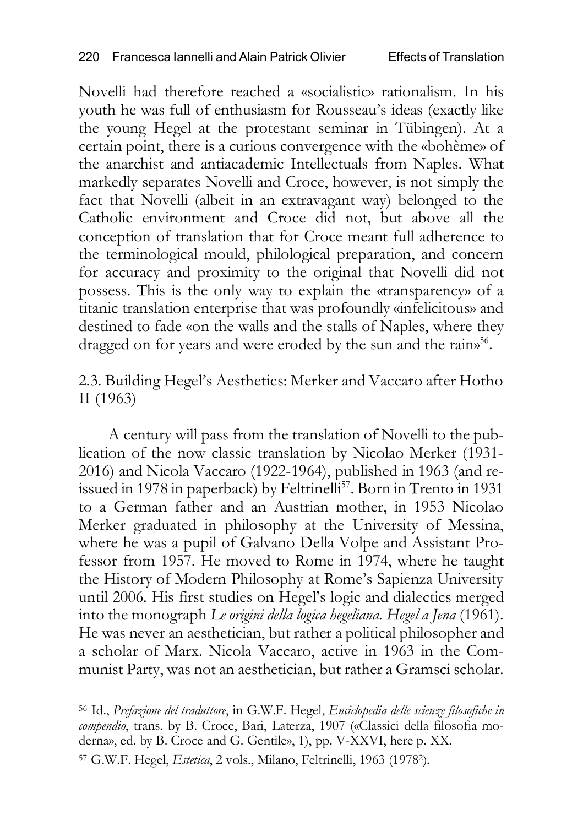Novelli had therefore reached a «socialistic» rationalism. In his youth he was full of enthusiasm for Rousseau's ideas (exactly like the young Hegel at the protestant seminar in Tübingen). At a certain point, there is a curious convergence with the «bohème» of the anarchist and antiacademic Intellectuals from Naples. What markedly separates Novelli and Croce, however, is not simply the fact that Novelli (albeit in an extravagant way) belonged to the Catholic environment and Croce did not, but above all the conception of translation that for Croce meant full adherence to the terminological mould, philological preparation, and concern for accuracy and proximity to the original that Novelli did not possess. This is the only way to explain the «transparency» of a titanic translation enterprise that was profoundly «infelicitous» and destined to fade «on the walls and the stalls of Naples, where they dragged on for years and were eroded by the sun and the rains<sup>56</sup>.

2.3. Building Hegel's Aesthetics: Merker and Vaccaro after Hotho II (1963)

A century will pass from the translation of Novelli to the publication of the now classic translation by Nicolao Merker (1931- 2016) and Nicola Vaccaro (1922-1964), published in 1963 (and reissued in 1978 in paperback) by Feltrinelli<sup>57</sup>. Born in Trento in 1931 to a German father and an Austrian mother, in 1953 Nicolao Merker graduated in philosophy at the University of Messina, where he was a pupil of Galvano Della Volpe and Assistant Professor from 1957. He moved to Rome in 1974, where he taught the History of Modern Philosophy at Rome's Sapienza University until 2006. His first studies on Hegel's logic and dialectics merged into the monograph *Le origini della logica hegeliana. Hegel a Jena* (1961). He was never an aesthetician, but rather a political philosopher and a scholar of Marx. Nicola Vaccaro, active in 1963 in the Communist Party, was not an aesthetician, but rather a Gramsci scholar.

<sup>56</sup> Id., *Prefazione del traduttore*, in G.W.F. Hegel, *Enciclopedia delle scienze filosofiche in compendio*, trans. by B. Croce, Bari, Laterza, 1907 («Classici della filosofia moderna», ed. by B. Croce and G. Gentile», 1), pp. V-XXVI, here p. XX.

<sup>57</sup> G.W.F. Hegel, *Estetica*, 2 vols., Milano, Feltrinelli, 1963 (19782).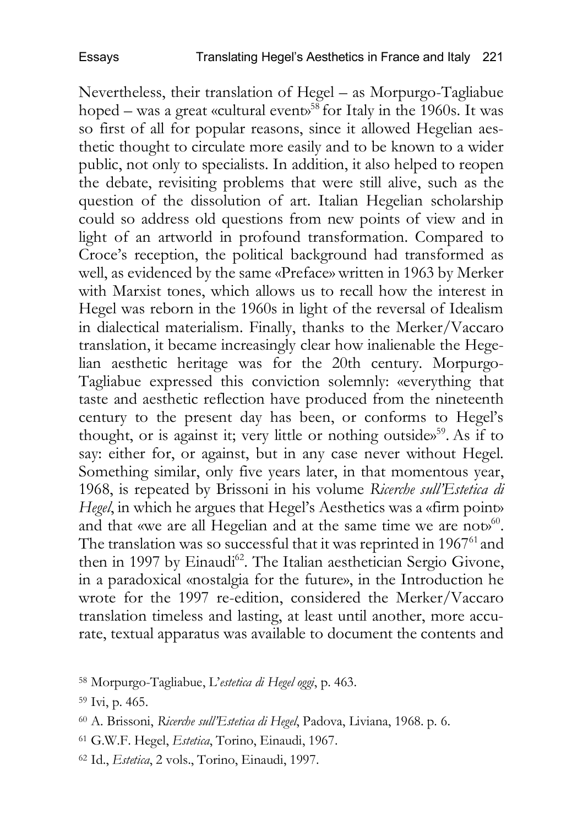Nevertheless, their translation of Hegel – as Morpurgo-Tagliabue hoped – was a great «cultural event» <sup>58</sup> for Italy in the 1960s. It was so first of all for popular reasons, since it allowed Hegelian aesthetic thought to circulate more easily and to be known to a wider public, not only to specialists. In addition, it also helped to reopen the debate, revisiting problems that were still alive, such as the question of the dissolution of art. Italian Hegelian scholarship could so address old questions from new points of view and in light of an artworld in profound transformation. Compared to Croce's reception, the political background had transformed as well, as evidenced by the same «Preface» written in 1963 by Merker with Marxist tones, which allows us to recall how the interest in Hegel was reborn in the 1960s in light of the reversal of Idealism in dialectical materialism. Finally, thanks to the Merker/Vaccaro translation, it became increasingly clear how inalienable the Hegelian aesthetic heritage was for the 20th century. Morpurgo-Tagliabue expressed this conviction solemnly: «everything that taste and aesthetic reflection have produced from the nineteenth century to the present day has been, or conforms to Hegel's thought, or is against it; very little or nothing outside»<sup>59</sup>. As if to say: either for, or against, but in any case never without Hegel. Something similar, only five years later, in that momentous year, 1968, is repeated by Brissoni in his volume *Ricerche sull'Estetica di Hegel*, in which he argues that Hegel's Aesthetics was a «firm point» and that «we are all Hegelian and at the same time we are not»<sup>60</sup>. The translation was so successful that it was reprinted in 1967<sup>61</sup> and then in 1997 by Einaudi<sup>62</sup>. The Italian aesthetician Sergio Givone, in a paradoxical «nostalgia for the future», in the Introduction he wrote for the 1997 re-edition, considered the Merker/Vaccaro translation timeless and lasting, at least until another, more accurate, textual apparatus was available to document the contents and

- <sup>61</sup> G.W.F. Hegel, *Estetica*, Torino, Einaudi, 1967.
- <sup>62</sup> Id., *Estetica*, 2 vols., Torino, Einaudi, 1997.

<sup>58</sup> Morpurgo-Tagliabue, L'*estetica di Hegel oggi*, p. 463.

<sup>59</sup> Ivi, p. 465.

<sup>60</sup> A. Brissoni, *Ricerche sull'Estetica di Hegel*, Padova, Liviana, 1968. p. 6.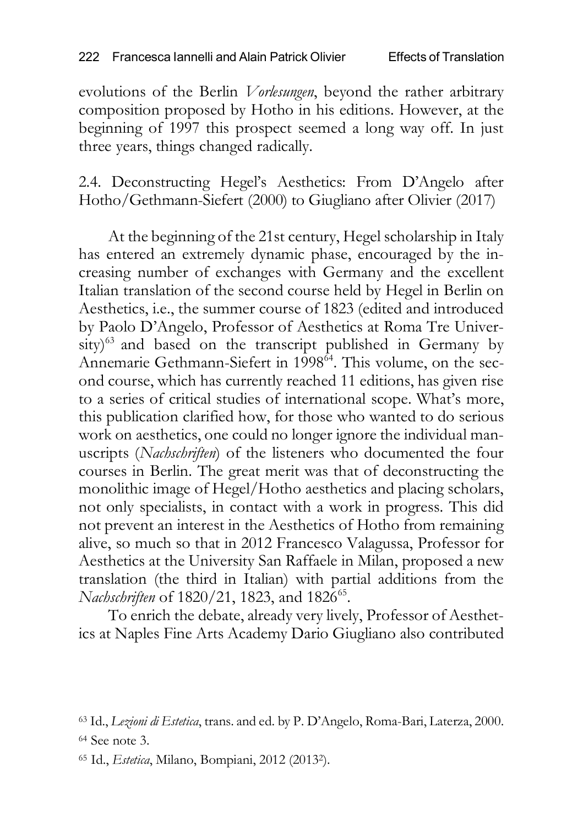evolutions of the Berlin *Vorlesungen*, beyond the rather arbitrary composition proposed by Hotho in his editions. However, at the beginning of 1997 this prospect seemed a long way off. In just three years, things changed radically.

2.4. Deconstructing Hegel's Aesthetics: From D'Angelo after Hotho/Gethmann-Siefert (2000) to Giugliano after Olivier (2017)

At the beginning of the 21st century, Hegel scholarship in Italy has entered an extremely dynamic phase, encouraged by the increasing number of exchanges with Germany and the excellent Italian translation of the second course held by Hegel in Berlin on Aesthetics, i.e., the summer course of 1823 (edited and introduced by Paolo D'Angelo, Professor of Aesthetics at Roma Tre University)<sup>63</sup> and based on the transcript published in Germany by Annemarie Gethmann-Siefert in 1998<sup>64</sup>. This volume, on the second course, which has currently reached 11 editions, has given rise to a series of critical studies of international scope. What's more, this publication clarified how, for those who wanted to do serious work on aesthetics, one could no longer ignore the individual manuscripts (*Nachschriften*) of the listeners who documented the four courses in Berlin. The great merit was that of deconstructing the monolithic image of Hegel/Hotho aesthetics and placing scholars, not only specialists, in contact with a work in progress. This did not prevent an interest in the Aesthetics of Hotho from remaining alive, so much so that in 2012 Francesco Valagussa, Professor for Aesthetics at the University San Raffaele in Milan, proposed a new translation (the third in Italian) with partial additions from the *Nachschriften* of 1820/21, 1823, and 1826<sup>65</sup>.

To enrich the debate, already very lively, Professor of Aesthetics at Naples Fine Arts Academy Dario Giugliano also contributed

<sup>63</sup> Id., *Lezioni di Estetica*, trans. and ed. by P. D'Angelo, Roma-Bari, Laterza, 2000. <sup>64</sup> See note 3.

<sup>65</sup> Id., *Estetica*, Milano, Bompiani, 2012 (20132).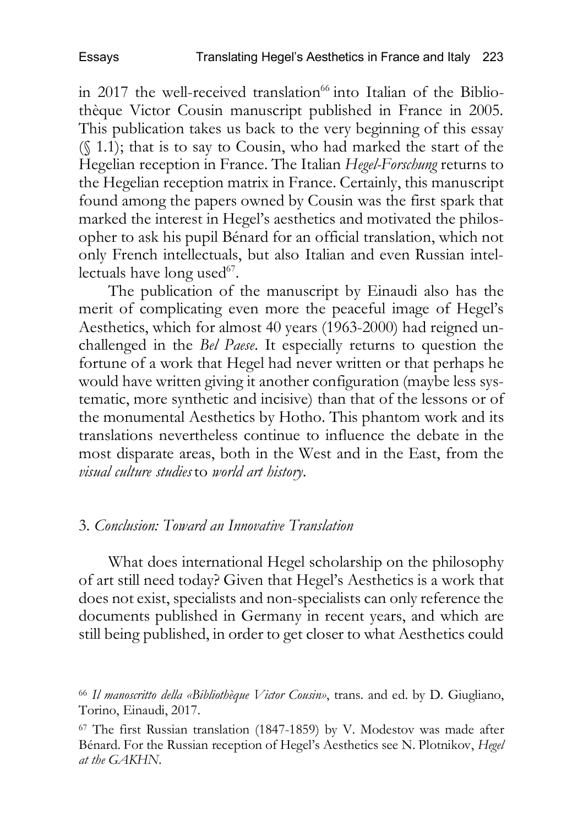in 2017 the well-received translation $66$  into Italian of the Bibliothèque Victor Cousin manuscript published in France in 2005. This publication takes us back to the very beginning of this essay (§ 1.1); that is to say to Cousin, who had marked the start of the Hegelian reception in France. The Italian *Hegel-Forschung* returns to the Hegelian reception matrix in France. Certainly, this manuscript found among the papers owned by Cousin was the first spark that marked the interest in Hegel's aesthetics and motivated the philosopher to ask his pupil Bénard for an official translation, which not only French intellectuals, but also Italian and even Russian intellectuals have long used $67$ .

The publication of the manuscript by Einaudi also has the merit of complicating even more the peaceful image of Hegel's Aesthetics, which for almost 40 years (1963-2000) had reigned unchallenged in the *Bel Paese*. It especially returns to question the fortune of a work that Hegel had never written or that perhaps he would have written giving it another configuration (maybe less systematic, more synthetic and incisive) than that of the lessons or of the monumental Aesthetics by Hotho. This phantom work and its translations nevertheless continue to influence the debate in the most disparate areas, both in the West and in the East, from the *visual culture studies* to *world art history*.

### 3. *Conclusion: Toward an Innovative Translation*

What does international Hegel scholarship on the philosophy of art still need today? Given that Hegel's Aesthetics is a work that does not exist, specialists and non-specialists can only reference the documents published in Germany in recent years, and which are still being published, in order to get closer to what Aesthetics could

<sup>66</sup> *Il manoscritto della «Bibliothèque Victor Cousin»*, trans. and ed. by D. Giugliano, Torino, Einaudi, 2017.

<sup>67</sup> The first Russian translation (1847-1859) by V. Modestov was made after Bénard. For the Russian reception of Hegel's Aesthetics see N. Plotnikov, *Hegel at the GAKHN*.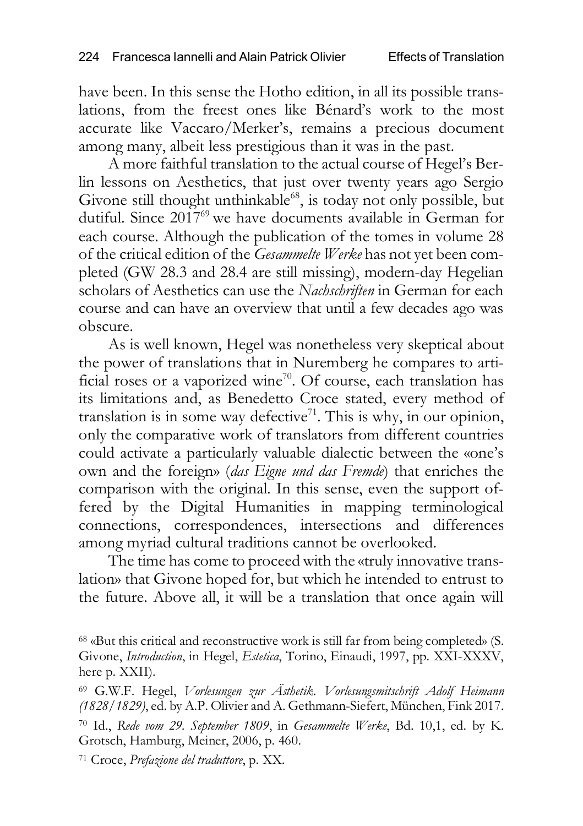have been. In this sense the Hotho edition, in all its possible translations, from the freest ones like Bénard's work to the most accurate like Vaccaro/Merker's, remains a precious document among many, albeit less prestigious than it was in the past.

A more faithful translation to the actual course of Hegel's Berlin lessons on Aesthetics, that just over twenty years ago Sergio Givone still thought unthinkable<sup>68</sup>, is today not only possible, but dutiful. Since 2017<sup>69</sup> we have documents available in German for each course. Although the publication of the tomes in volume 28 of the critical edition of the *Gesammelte Werke* has not yet been completed (GW 28.3 and 28.4 are still missing), modern-day Hegelian scholars of Aesthetics can use the *Nachschriften* in German for each course and can have an overview that until a few decades ago was obscure.

As is well known, Hegel was nonetheless very skeptical about the power of translations that in Nuremberg he compares to artificial roses or a vaporized wine<sup>70</sup>. Of course, each translation has its limitations and, as Benedetto Croce stated, every method of translation is in some way defective<sup>71</sup>. This is why, in our opinion, only the comparative work of translators from different countries could activate a particularly valuable dialectic between the «one's own and the foreign» (*das Eigne und das Fremde*) that enriches the comparison with the original. In this sense, even the support offered by the Digital Humanities in mapping terminological connections, correspondences, intersections and differences among myriad cultural traditions cannot be overlooked.

The time has come to proceed with the «truly innovative translation» that Givone hoped for, but which he intended to entrust to the future. Above all, it will be a translation that once again will

<sup>68</sup> «But this critical and reconstructive work is still far from being completed» (S. Givone, *Introduction*, in Hegel, *Estetica*, Torino, Einaudi, 1997, pp. XXI-XXXV, here p. XXII).

<sup>71</sup> Croce, *Prefazione del traduttore*, p. XX.

<sup>69</sup> G.W.F. Hegel, *Vorlesungen zur Ästhetik. Vorlesungsmitschrift Adolf Heimann (1828/1829)*, ed. by A.P. Olivier and A. Gethmann-Siefert, München, Fink 2017. <sup>70</sup> Id., *Rede vom 29. September 1809*, in *Gesammelte Werke*, Bd. 10,1, ed. by K. Grotsch, Hamburg, Meiner, 2006, p. 460.